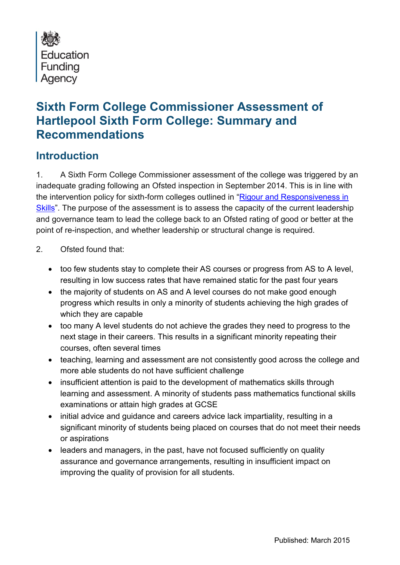

# **Sixth Form College Commissioner Assessment of Hartlepool Sixth Form College: Summary and Recommendations**

### **Introduction**

1. A Sixth Form College Commissioner assessment of the college was triggered by an inadequate grading following an Ofsted inspection in September 2014. This is in line with the intervention policy for sixth-form colleges outlined in "[Rigour and Responsiveness in](https://www.gov.uk/government/uploads/system/uploads/attachment_data/file/186830/13-960-rigour-and-responsiveness-in-skills-amended.pdfhttps:/www.gov.uk/government/uploads/system/uploads/attachment_data/file/186830/13-960-rigour-and-responsiveness-in-skills-amended.pdf)  [Skills](https://www.gov.uk/government/uploads/system/uploads/attachment_data/file/186830/13-960-rigour-and-responsiveness-in-skills-amended.pdfhttps:/www.gov.uk/government/uploads/system/uploads/attachment_data/file/186830/13-960-rigour-and-responsiveness-in-skills-amended.pdf)". The purpose of the assessment is to assess the capacity of the current leadership and governance team to lead the college back to an Ofsted rating of good or better at the point of re-inspection, and whether leadership or structural change is required.

- 2. Ofsted found that:
	- too few students stay to complete their AS courses or progress from AS to A level, resulting in low success rates that have remained static for the past four years
	- the majority of students on AS and A level courses do not make good enough progress which results in only a minority of students achieving the high grades of which they are capable
	- too many A level students do not achieve the grades they need to progress to the next stage in their careers. This results in a significant minority repeating their courses, often several times
	- teaching, learning and assessment are not consistently good across the college and more able students do not have sufficient challenge
	- insufficient attention is paid to the development of mathematics skills through learning and assessment. A minority of students pass mathematics functional skills examinations or attain high grades at GCSE
	- initial advice and guidance and careers advice lack impartiality, resulting in a significant minority of students being placed on courses that do not meet their needs or aspirations
	- leaders and managers, in the past, have not focused sufficiently on quality assurance and governance arrangements, resulting in insufficient impact on improving the quality of provision for all students.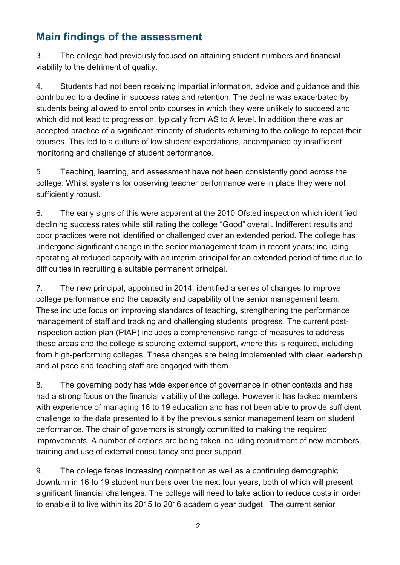## **Main findings of the assessment**

3. The college had previously focused on attaining student numbers and financial viability to the detriment of quality.

4. Students had not been receiving impartial information, advice and guidance and this contributed to a decline in success rates and retention. The decline was exacerbated by students being allowed to enrol onto courses in which they were unlikely to succeed and which did not lead to progression, typically from AS to A level. In addition there was an accepted practice of a significant minority of students returning to the college to repeat their courses. This led to a culture of low student expectations, accompanied by insufficient monitoring and challenge of student performance.

5. Teaching, learning, and assessment have not been consistently good across the college. Whilst systems for observing teacher performance were in place they were not sufficiently robust.

6. The early signs of this were apparent at the 2010 Ofsted inspection which identified declining success rates while still rating the college "Good" overall. Indifferent results and poor practices were not identified or challenged over an extended period. The college has undergone significant change in the senior management team in recent years; including operating at reduced capacity with an interim principal for an extended period of time due to difficulties in recruiting a suitable permanent principal.

7. The new principal, appointed in 2014, identified a series of changes to improve college performance and the capacity and capability of the senior management team. These include focus on improving standards of teaching, strengthening the performance management of staff and tracking and challenging students' progress. The current postinspection action plan (PIAP) includes a comprehensive range of measures to address these areas and the college is sourcing external support, where this is required, including from high-performing colleges. These changes are being implemented with clear leadership and at pace and teaching staff are engaged with them.

8. The governing body has wide experience of governance in other contexts and has had a strong focus on the financial viability of the college. However it has lacked members with experience of managing 16 to 19 education and has not been able to provide sufficient challenge to the data presented to it by the previous senior management team on student performance. The chair of governors is strongly committed to making the required improvements. A number of actions are being taken including recruitment of new members, training and use of external consultancy and peer support.

9. The college faces increasing competition as well as a continuing demographic downturn in 16 to 19 student numbers over the next four years, both of which will present significant financial challenges. The college will need to take action to reduce costs in order to enable it to live within its 2015 to 2016 academic year budget. The current senior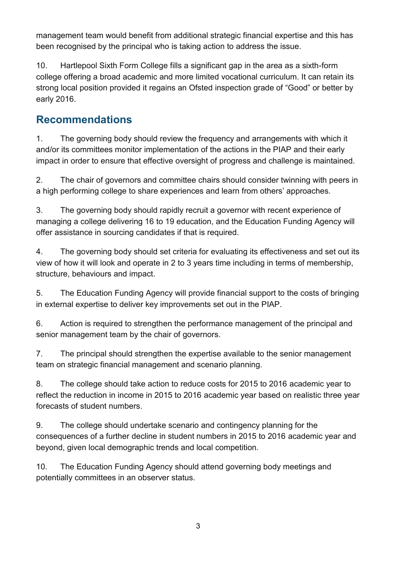management team would benefit from additional strategic financial expertise and this has been recognised by the principal who is taking action to address the issue.

10. Hartlepool Sixth Form College fills a significant gap in the area as a sixth-form college offering a broad academic and more limited vocational curriculum. It can retain its strong local position provided it regains an Ofsted inspection grade of "Good" or better by early 2016.

### **Recommendations**

1. The governing body should review the frequency and arrangements with which it and/or its committees monitor implementation of the actions in the PIAP and their early impact in order to ensure that effective oversight of progress and challenge is maintained.

2. The chair of governors and committee chairs should consider twinning with peers in a high performing college to share experiences and learn from others' approaches.

3. The governing body should rapidly recruit a governor with recent experience of managing a college delivering 16 to 19 education, and the Education Funding Agency will offer assistance in sourcing candidates if that is required.

4. The governing body should set criteria for evaluating its effectiveness and set out its view of how it will look and operate in 2 to 3 years time including in terms of membership, structure, behaviours and impact.

5. The Education Funding Agency will provide financial support to the costs of bringing in external expertise to deliver key improvements set out in the PIAP.

6. Action is required to strengthen the performance management of the principal and senior management team by the chair of governors.

7. The principal should strengthen the expertise available to the senior management team on strategic financial management and scenario planning.

8. The college should take action to reduce costs for 2015 to 2016 academic year to reflect the reduction in income in 2015 to 2016 academic year based on realistic three year forecasts of student numbers.

9. The college should undertake scenario and contingency planning for the consequences of a further decline in student numbers in 2015 to 2016 academic year and beyond, given local demographic trends and local competition.

10. The Education Funding Agency should attend governing body meetings and potentially committees in an observer status.